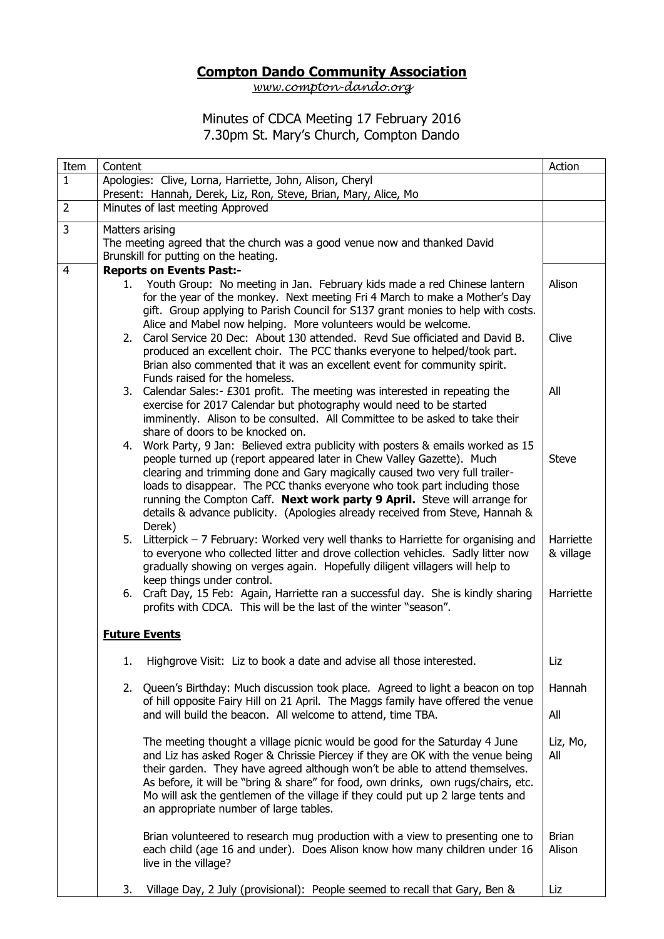## **Compton Dando Community Association**

*[www.compton-dando.org](http://www.compton-dando.org/)*

## Minutes of CDCA Meeting 17 February 2016 7.30pm St. Mary's Church, Compton Dando

| Item           | Content                                                                                                                                                                                                                                                                                                                                                                                                                                                                                        | Action                 |  |
|----------------|------------------------------------------------------------------------------------------------------------------------------------------------------------------------------------------------------------------------------------------------------------------------------------------------------------------------------------------------------------------------------------------------------------------------------------------------------------------------------------------------|------------------------|--|
| $\mathbf{1}$   | Apologies: Clive, Lorna, Harriette, John, Alison, Cheryl<br>Present: Hannah, Derek, Liz, Ron, Steve, Brian, Mary, Alice, Mo                                                                                                                                                                                                                                                                                                                                                                    |                        |  |
| $\overline{2}$ | Minutes of last meeting Approved                                                                                                                                                                                                                                                                                                                                                                                                                                                               |                        |  |
| 3              | Matters arising<br>The meeting agreed that the church was a good venue now and thanked David<br>Brunskill for putting on the heating.                                                                                                                                                                                                                                                                                                                                                          |                        |  |
| $\overline{4}$ | <b>Reports on Events Past:-</b><br>1. Youth Group: No meeting in Jan. February kids made a red Chinese lantern<br>for the year of the monkey. Next meeting Fri 4 March to make a Mother's Day<br>gift. Group applying to Parish Council for S137 grant monies to help with costs.<br>Alice and Mabel now helping. More volunteers would be welcome.                                                                                                                                            | Alison                 |  |
|                | 2. Carol Service 20 Dec: About 130 attended. Revd Sue officiated and David B.<br>produced an excellent choir. The PCC thanks everyone to helped/took part.<br>Brian also commented that it was an excellent event for community spirit.<br>Funds raised for the homeless.                                                                                                                                                                                                                      | Clive                  |  |
|                | 3. Calendar Sales:- £301 profit. The meeting was interested in repeating the<br>exercise for 2017 Calendar but photography would need to be started<br>imminently. Alison to be consulted. All Committee to be asked to take their<br>share of doors to be knocked on.                                                                                                                                                                                                                         | All                    |  |
|                | 4. Work Party, 9 Jan: Believed extra publicity with posters & emails worked as 15<br>people turned up (report appeared later in Chew Valley Gazette). Much<br>clearing and trimming done and Gary magically caused two very full trailer-<br>loads to disappear. The PCC thanks everyone who took part including those<br>running the Compton Caff. Next work party 9 April. Steve will arrange for<br>details & advance publicity. (Apologies already received from Steve, Hannah &<br>Derek) | <b>Steve</b>           |  |
|                | 5. Litterpick - 7 February: Worked very well thanks to Harriette for organising and<br>to everyone who collected litter and drove collection vehicles. Sadly litter now<br>gradually showing on verges again. Hopefully diligent villagers will help to<br>keep things under control.                                                                                                                                                                                                          | Harriette<br>& village |  |
|                | 6. Craft Day, 15 Feb: Again, Harriette ran a successful day. She is kindly sharing<br>profits with CDCA. This will be the last of the winter "season".                                                                                                                                                                                                                                                                                                                                         | Harriette              |  |
|                | <b>Future Events</b>                                                                                                                                                                                                                                                                                                                                                                                                                                                                           |                        |  |
|                | Highgrove Visit: Liz to book a date and advise all those interested.<br>1.                                                                                                                                                                                                                                                                                                                                                                                                                     | Liz                    |  |
|                | 2. Queen's Birthday: Much discussion took place. Agreed to light a beacon on top<br>of hill opposite Fairy Hill on 21 April. The Maggs family have offered the venue<br>and will build the beacon. All welcome to attend, time TBA.                                                                                                                                                                                                                                                            | Hannah<br>All          |  |
|                | The meeting thought a village picnic would be good for the Saturday 4 June<br>and Liz has asked Roger & Chrissie Piercey if they are OK with the venue being<br>their garden. They have agreed although won't be able to attend themselves.<br>As before, it will be "bring & share" for food, own drinks, own rugs/chairs, etc.<br>Mo will ask the gentlemen of the village if they could put up 2 large tents and<br>an appropriate number of large tables.                                  | Liz, Mo,<br>All        |  |
|                | Brian volunteered to research mug production with a view to presenting one to<br>each child (age 16 and under). Does Alison know how many children under 16<br>live in the village?                                                                                                                                                                                                                                                                                                            | <b>Brian</b><br>Alison |  |
|                | Village Day, 2 July (provisional): People seemed to recall that Gary, Ben &<br>3.                                                                                                                                                                                                                                                                                                                                                                                                              | Liz                    |  |